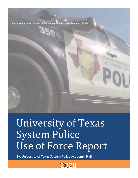A summary report of use of force incidents for calendar year 2020.

# University of Texas System Police Use of Force Report

By: University of Texas System Police Academy Staff

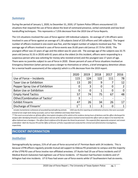#### *Summary*

During the period of January 1, 2020, to December 31, 2020, UT System Police Officers encountered 115 situations that required the use of force above the level of command presence, verbal commands and low-level handcuffing techniques. This represents a 7.25% decrease from the 2019 Use of Force Reports.

The 115 situations involved the uses of force against 149 individual subjects. An average of 1.94 officers were involved in uses of force against an average of 1.30 subjects (total of 223 officers and 149 subjects). The largest number of officers involved in one event was five, and the largest number of subjects involved was five. The average age of officers involved in uses of force events was 35.83 years old (versus 37.73 for 2019). The youngest officer was 22 years of age and the oldest was 61 years old. The average age of the subjects was 32.75 years old (versus 31.55 in 2019) with 61 years old as the oldest (In this incident, officers were responding to a suspicious person who was soliciting for money who resisted arrest) and the youngest was 17 years of age. There were no juveniles subject to use of force in 2020. Eleven percent of uses of force situations involved an Emergency Detention (when persons pose a danger to themselves or others, a brief emergency detention allows for a mental health assessment) of the subject(s) which is a 9% decrease from the 2019 report.

|                                           | 2020 | 2019 | 2018 | 2017                     | 2016           |
|-------------------------------------------|------|------|------|--------------------------|----------------|
| Use of Force - Incidents                  | 115  | 124  | 122  | 111                      | 78             |
| <b>Taser Use or Exhibition</b>            | 13   | 20   | 9    | 7                        | 12             |
| Pepper Spray Use of Exhibition            | 0    | 3    |      | $\overline{0}$           | $\overline{2}$ |
| <b>Baton Use or Exhibition</b>            | 0    |      |      | $\overline{0}$           | O              |
| <b>Empty Hand Tactics</b>                 | 57   | 74   | 75   | 67                       | 48             |
| Other/Combination of Tactics <sup>+</sup> | 3    |      |      | $\overline{\phantom{a}}$ |                |
| <b>Exhibit Firearm</b>                    | 47   | 26   | 34   | 26                       |                |
| Discharge of Firearm <sup>*</sup>         | **   |      |      | $\overline{0}$           |                |

\* *Includes humanitarian euthanasia of wounded/injured/suffering animals. + 2020 saw the first reporting of combination of tactics that were successful instead of one single tactic being successful, such as Taser exhibition and Empty Hand Tactics.*

*\*\* This event occurred when an off duty officer interrupted a burglary of his vehicle at his residence during hours of darkness and the officer discharged his*  weapon after identifying himself as a police officer and one of the multiple suspects involved turned toward the officer with an object in his hand that the *officer believed was a handgun—The officer fired in defense of his life given the threat he perceived—The suspect(s) fled, apparently uninjured and remain unidentified—Both the Houston PD and the Office of Director of Police responded and conducted the criminal and administrative investigations, respectively.*

# **INCIDENT INFORMATION**

#### *Institution*

Demographically by campus, 21% of all uses of force occurred at UT Permian Basin with 24 incidents. This is because UTPB officers regularly provide mutual aid support to Odessa PD proximate to campus and the majority of the UTPB PD uses of force involve non-affiliated arrestees. UT Austin had 19 use of force incidents and UT Medical Branch-Galveston had eighteen use of force incidents. UT Houston had fourteen incidents and UT Arlington had nine incidents. UT El Paso had seven use of force events while UT Southwestern had six events.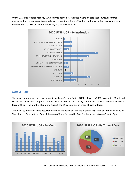Of the 115 uses of force reports, 16% occurred at medical facilities where officers used low level control measures (hands-on passive-type guidance) to assist medical staff with a combative patient in an emergency room setting. UT Dallas did not report any use of force in 2020.



#### *Date & Time*

The majority of uses of force by University of Texas System Police (UTSP) officers in 2020 occurred in March and May with 13 incidents compared to April (total of 14) in 2019. January had the next most occurrences of uses of force with 12. The months of July and August had 11 each of occurrences of uses of force.

The majority of uses of force occurred between the hours of 3pm and 11pm at 44% (similar to the 42% in 2019). The 11pm to 7am shift saw 36% of the uses of force followed by 20% for the hours between 7am to 3pm.

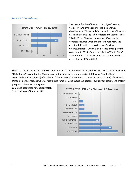# *Incident Conditions*



The reason for the officer and the subject's contact varied. In 41% of the reports, the incident was classified as a "Dispatched Call" in which the officer was assigned a call via the radio or telephone (compared to 56% in 2019). Thirty-six percent of officer/subject contacts occurred when the officer directly saw the event unfold, which is classified as "On-view Offense/Incident" which is an increase of ten percent compared to 2019. Events classified as "Traffic Stop" accounted for 22% of all uses of force (compared to a percentage of 13% in 2018).

When classifying the nature of the situation in which uses of force occurred, there were several factors involved. "Disturbance" accounted for 24% concerning the nature of the situation (27 total) while "Traffic Stop" accounted for 20% (23 total) of incidents. "Man with Gun" situations accounted for 14% (16 total) of incidents. Other incident conditions where officers used force included suspicious persons, public intoxication, and theft in

progress. These four categories combined accounted for approximately 31% of all uses of force in 2020.

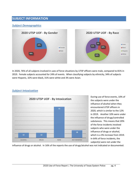### **SUBJECT INFORMATION**

#### *Subject Demographics*



In 2020, 76% of all subjects involved in uses of force situations by UTSP officers were male, compared to 81% in 2019. Female subjects accounted for 24% of events. When classifying subjects by ethnicity, 34% of subjects were Hispanic, 32% were black, 31% were white and 3% were Asian.



During use of force events, 10% of the subjects were under the influence of alcohol when they encountered UTSP officers in 2020, which is similar to the 12% in 2019. Another 10% were under the influence of drugs/controlled substances. This means that 20% of the force incidents involved subjects who were under the influence of drugs or alcohol, which is a 3% increase from 2019. In 64% of force incidents, the subject(s) were not under the

influence of drugs or alcohol. In 16% of the reports the use of drugs/alcohol was not indicated or documented.

*Subject Intoxication*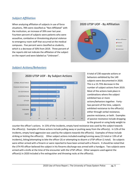#### *Subject Affiliation*

When analyzing affiliation of subjects in use of force situations, 78% were classified as "Non-Affiliated" with the institution, an increase of 39% over last year. Fourteen percent of subjects were patients who were assaultive, combative or threatening physical violence to emergency room staff that occurred at the medical campuses. Five percent were classified as students, which is a decrease of 50% from 2019. Three percent of the reports did not indicate the affiliation of the subject on the report and were labeled as "Unknown".



#### *Subject Actions/Behaviors*



A total of 230 separate actions or behaviors exhibited by the 149 subjects were documented in 2020. This is a 15.75% decrease in the number of subject actions from 2019. Most of the actions took place in combinations where the subject exhibited two or more actions/behaviors together. Fortytwo percent of the time, subjects exhibited resistance to the officer(s) either through verbal resistance, passive resistance, or both. Examples of passive resistance include dropping to the ground or using body weight to

counter the officer's actions. In 15% of the incidents, empty hand resistance was used by the subject towards the officer(s). Examples of these actions include pulling away or pushing away from the officer(s). In 12% of the incidents, empty hand aggression was used by the subjects towards the officer(s). Examples of these include striking or kicking the officer(s). Other subject actions included evading/running away (15 total or 13% of all incidents), biting/attempting to bite the officer (3) or attempting to disarm a UTSP officer (1 total). Six subjects were either armed with a firearm or were reported to have been armed with a firearm. It should be noted that the UTH PD officer believed the subject in his firearms discharge was armed with a handgun. Two subjects were armed with a knife at the time of the encounter with the UTSP officer. Other weapons used against the officer(s) in 2020 included a fire extinguisher and throwing rocks at the officer(s).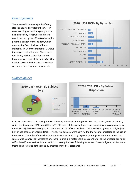#### *Other Dynamics*

There were thirty-nine high risk/felony stops conducted by UTSP officer(s) (or were assisting an outside agency with a high-risk/felony stop) where a firearm was displayed by the officer(s) due to the potential danger of the incident, which represented 34% of all use of force incidents. In 17 of the incidents (14.78%) the subject resisted arrest. There were four family violence situations where force was used against the officer(s). One incident occurred when the UTSP officer was affecting a felony arrest warrant.



#### *Subject Injuries*



In 2020, there were 10 actual injuries sustained by the subject during the use of force event (9% of all events), which is a decrease of 50% from 2019. In 9% (10 total) of the use of force reports, an injury was complained by the subject(s); however, no injury was observed by the officers involved. There were no injuries for subject(s) in 82% of use of force events (95 total). Twenty-two subjects were admitted to the hospital unrelated to the use of force event. Examples of these hospital admissions included drug ingestion, Emergency Detention when the subject was a danger to themselves or others, injured in a motor vehicle accident prior to the officer(s) arrival or self-inflicted/self-sustained injuries which occurred prior to or following an arrest. Eleven subjects (9.56%) were treated and released at the scene by emergency medical personnel.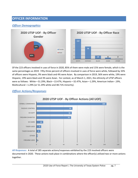# **OFFICER INFORMATION**

### *Officer Demographics*



Of the 223 officers involved in uses of force in 2020, 85% of them were male and 15% were female, which is the same percentages as 2019. Fifty-three percent of officers involved in uses of force were white, followed by 33% of officers were Hispanic, 9% were black and 4% were Asian. By comparison in 2019, 56% were white, 19% were Hispanic, 19% were black and 3% were Asian. For context, as of March 1, 2021, the ethnicity of UTSP officers were as follows: White—51.29%, Black—13.47%, Hispanic—32.47%, Asian—1.29%, American Indian--.19%, Multicultural—1.29% (or 51.29% white and 48.71% minority).



#### *Officer Actions/Responses*

*All Responses:* A total of 285 separate actions/responses exhibited by the 223 involved officers were documented in 2020. These actions took place in combinations where the officer(s) utilized two or more actions together.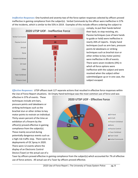*Ineffective Responses:* One hundred and seventy-two of the force option responses selected by officers proved ineffective in gaining compliance from the subject(s). Verbal Commands by the officer were ineffective in 57% of the incidents, which is similar to the 55% in 2019. Examples of this include officers ordering the subject to



comply, to put their hands behind their back, to stop resisting, etc. Passive techniques (use of bare hands to guide or hold) were ineffective in nearly 26% of reports. Empty hand techniques (such as arm bars, pressure points & takedowns or striking techniques such as brachial stun or other strikes to key motor points) were ineffective in 8% of events. There were seven incidents (4%) in which all force options were ineffective with the subject and were resolved when the subject either submitted/gave up or in one case, the subject escaped.

*Effective Responses:* UTSP officers took 127 separate actions that resulted in effective force responses within the Use of Force Report situations. An Empty Hand technique was the most common use of force and was

effective in 37% of events. These techniques include arm bars, pressure points and takedowns or striking techniques such as the brachial stun or other strikes to key motor points to restrain an individual. Thirty-seven percent of the time an exhibition of a firearm by the officer(s) proved effective in gaining compliance from the subject(s). These mainly occurred during potentially dangerous events such as a high-risk traffic stop. There were no deployments of OC Spray in 2020. There were 12 events where the display of an Electronic Control Device (Taser) or the actual use of a



Taser by officers proved effective in gaining compliance from the subject(s) which accounted for 7% of effective use of force actions. All actual use of a Taser by officers proved effective.